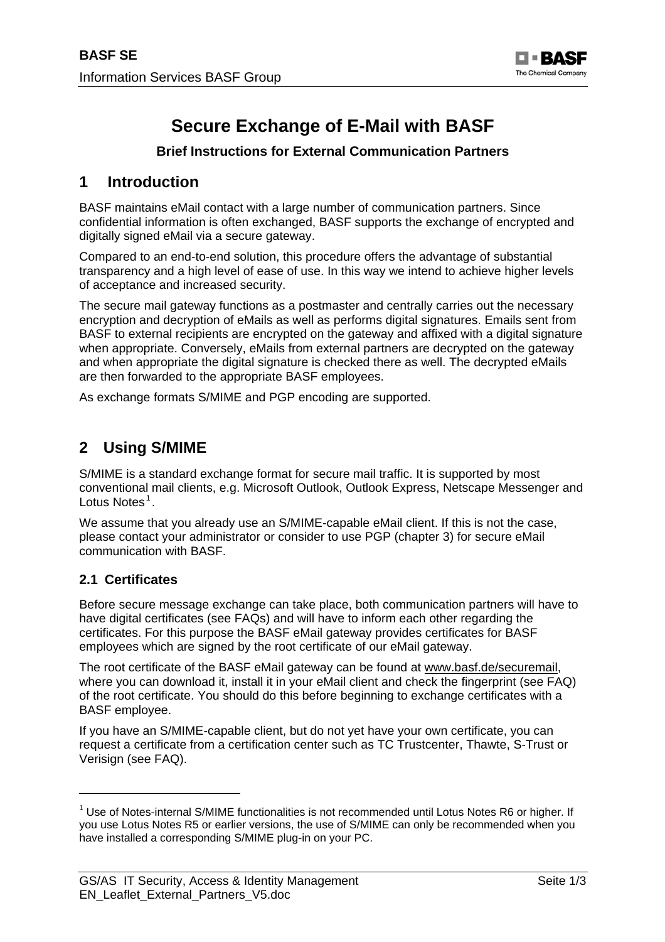

# **Secure Exchange of E-Mail with BASF**

#### **Brief Instructions for External Communication Partners**

## **1 Introduction**

BASF maintains eMail contact with a large number of communication partners. Since confidential information is often exchanged, BASF supports the exchange of encrypted and digitally signed eMail via a secure gateway.

Compared to an end-to-end solution, this procedure offers the advantage of substantial transparency and a high level of ease of use. In this way we intend to achieve higher levels of acceptance and increased security.

The secure mail gateway functions as a postmaster and centrally carries out the necessary encryption and decryption of eMails as well as performs digital signatures. Emails sent from BASF to external recipients are encrypted on the gateway and affixed with a digital signature when appropriate. Conversely, eMails from external partners are decrypted on the gateway and when appropriate the digital signature is checked there as well. The decrypted eMails are then forwarded to the appropriate BASF employees.

As exchange formats S/MIME and PGP encoding are supported.

## **2 Using S/MIME**

S/MIME is a standard exchange format for secure mail traffic. It is supported by most conventional mail clients, e.g. Microsoft Outlook, Outlook Express, Netscape Messenger and Lotus Notes<sup>[1](#page-0-0)</sup>.

We assume that you already use an S/MIME-capable eMail client. If this is not the case, please contact your administrator or consider to use PGP (chapter 3) for secure eMail communication with BASF.

#### **2.1 Certificates**

Before secure message exchange can take place, both communication partners will have to have digital certificates (see FAQs) and will have to inform each other regarding the certificates. For this purpose the BASF eMail gateway provides certificates for BASF employees which are signed by the root certificate of our eMail gateway.

The root certificate of the BASF eMail gateway can be found at www.basf.de/securemail, where you can download it, install it in your eMail client and check the fingerprint (see FAQ) of the root certificate. You should do this before beginning to exchange certificates with a BASF employee.

If you have an S/MIME-capable client, but do not yet have your own certificate, you can request a certificate from a certification center such as TC Trustcenter, Thawte, S-Trust or Verisign (see FAQ).

<span id="page-0-0"></span><sup>&</sup>lt;sup>1</sup> Use of Notes-internal S/MIME functionalities is not recommended until Lotus Notes R6 or higher. If you use Lotus Notes R5 or earlier versions, the use of S/MIME can only be recommended when you have installed a corresponding S/MIME plug-in on your PC.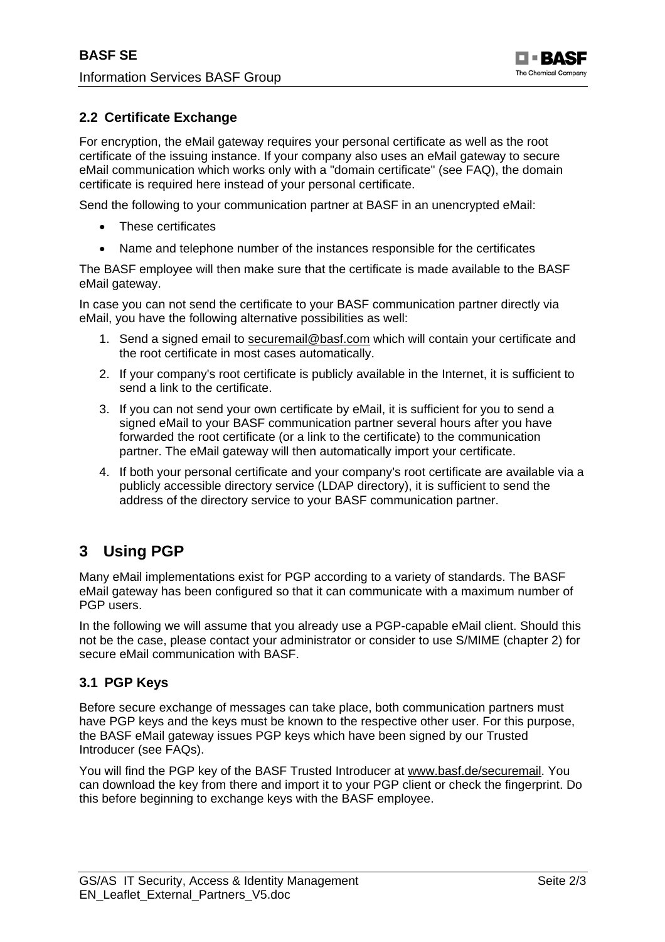#### **2.2 Certificate Exchange**

For encryption, the eMail gateway requires your personal certificate as well as the root certificate of the issuing instance. If your company also uses an eMail gateway to secure eMail communication which works only with a "domain certificate" (see FAQ), the domain certificate is required here instead of your personal certificate.

Send the following to your communication partner at BASF in an unencrypted eMail:

- These certificates
- Name and telephone number of the instances responsible for the certificates

The BASF employee will then make sure that the certificate is made available to the BASF eMail gateway.

In case you can not send the certificate to your BASF communication partner directly via eMail, you have the following alternative possibilities as well:

- 1. Send a signed email to securemail@basf.com which will contain your certificate and the root certificate in most cases automatically.
- 2. If your company's root certificate is publicly available in the Internet, it is sufficient to send a link to the certificate.
- 3. If you can not send your own certificate by eMail, it is sufficient for you to send a signed eMail to your BASF communication partner several hours after you have forwarded the root certificate (or a link to the certificate) to the communication partner. The eMail gateway will then automatically import your certificate.
- 4. If both your personal certificate and your company's root certificate are available via a publicly accessible directory service (LDAP directory), it is sufficient to send the address of the directory service to your BASF communication partner.

## **3 Using PGP**

Many eMail implementations exist for PGP according to a variety of standards. The BASF eMail gateway has been configured so that it can communicate with a maximum number of PGP users.

In the following we will assume that you already use a PGP-capable eMail client. Should this not be the case, please contact your administrator or consider to use S/MIME (chapter 2) for secure eMail communication with BASF.

#### **3.1 PGP Keys**

Before secure exchange of messages can take place, both communication partners must have PGP keys and the keys must be known to the respective other user. For this purpose, the BASF eMail gateway issues PGP keys which have been signed by our Trusted Introducer (see FAQs).

You will find the PGP key of the BASF Trusted Introducer at www.basf.de/securemail. You can download the key from there and import it to your PGP client or check the fingerprint. Do this before beginning to exchange keys with the BASF employee.